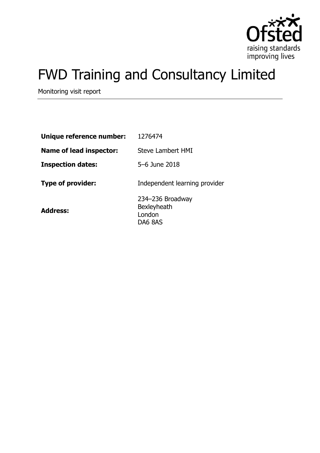

# FWD Training and Consultancy Limited

Monitoring visit report

| Unique reference number: | 1276474                                                     |
|--------------------------|-------------------------------------------------------------|
| Name of lead inspector:  | Steve Lambert HMI                                           |
| <b>Inspection dates:</b> | 5-6 June 2018                                               |
| <b>Type of provider:</b> | Independent learning provider                               |
| <b>Address:</b>          | 234-236 Broadway<br><b>Bexleyheath</b><br>London<br>DA6 8AS |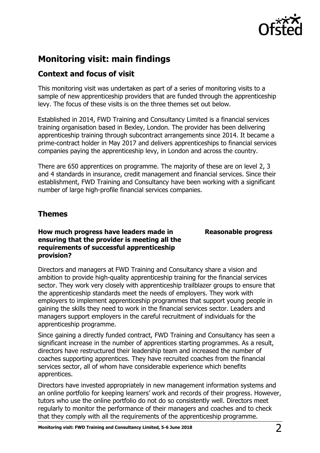

# **Monitoring visit: main findings**

# **Context and focus of visit**

This monitoring visit was undertaken as part of a series of monitoring visits to a sample of new apprenticeship providers that are funded through the apprenticeship levy. The focus of these visits is on the three themes set out below.

Established in 2014, FWD Training and Consultancy Limited is a financial services training organisation based in Bexley, London. The provider has been delivering apprenticeship training through subcontract arrangements since 2014. It became a prime-contract holder in May 2017 and delivers apprenticeships to financial services companies paying the apprenticeship levy, in London and across the country.

There are 650 apprentices on programme. The majority of these are on level 2, 3 and 4 standards in insurance, credit management and financial services. Since their establishment, FWD Training and Consultancy have been working with a significant number of large high-profile financial services companies.

## **Themes**

## **How much progress have leaders made in ensuring that the provider is meeting all the requirements of successful apprenticeship provision?**

**Reasonable progress**

Directors and managers at FWD Training and Consultancy share a vision and ambition to provide high-quality apprenticeship training for the financial services sector. They work very closely with apprenticeship trailblazer groups to ensure that the apprenticeship standards meet the needs of employers. They work with employers to implement apprenticeship programmes that support young people in gaining the skills they need to work in the financial services sector. Leaders and managers support employers in the careful recruitment of individuals for the apprenticeship programme.

Since gaining a directly funded contract, FWD Training and Consultancy has seen a significant increase in the number of apprentices starting programmes. As a result, directors have restructured their leadership team and increased the number of coaches supporting apprentices. They have recruited coaches from the financial services sector, all of whom have considerable experience which benefits apprentices.

Directors have invested appropriately in new management information systems and an online portfolio for keeping learners' work and records of their progress. However, tutors who use the online portfolio do not do so consistently well. Directors meet regularly to monitor the performance of their managers and coaches and to check that they comply with all the requirements of the apprenticeship programme.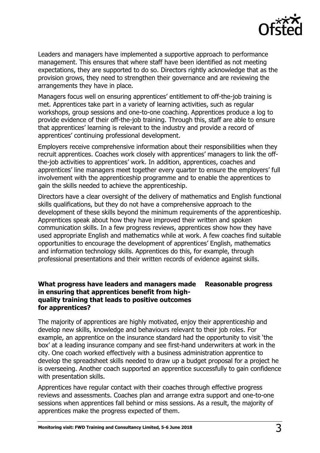

Leaders and managers have implemented a supportive approach to performance management. This ensures that where staff have been identified as not meeting expectations, they are supported to do so. Directors rightly acknowledge that as the provision grows, they need to strengthen their governance and are reviewing the arrangements they have in place.

Managers focus well on ensuring apprentices' entitlement to off-the-job training is met. Apprentices take part in a variety of learning activities, such as regular workshops, group sessions and one-to-one coaching. Apprentices produce a log to provide evidence of their off-the-job training. Through this, staff are able to ensure that apprentices' learning is relevant to the industry and provide a record of apprentices' continuing professional development.

Employers receive comprehensive information about their responsibilities when they recruit apprentices. Coaches work closely with apprentices' managers to link the offthe-job activities to apprentices' work. In addition, apprentices, coaches and apprentices' line managers meet together every quarter to ensure the employers' full involvement with the apprenticeship programme and to enable the apprentices to gain the skills needed to achieve the apprenticeship.

Directors have a clear oversight of the delivery of mathematics and English functional skills qualifications, but they do not have a comprehensive approach to the development of these skills beyond the minimum requirements of the apprenticeship. Apprentices speak about how they have improved their written and spoken communication skills. In a few progress reviews, apprentices show how they have used appropriate English and mathematics while at work. A few coaches find suitable opportunities to encourage the development of apprentices' English, mathematics and information technology skills. Apprentices do this, for example, through professional presentations and their written records of evidence against skills.

### **What progress have leaders and managers made in ensuring that apprentices benefit from highquality training that leads to positive outcomes for apprentices? Reasonable progress**

The majority of apprentices are highly motivated, enjoy their apprenticeship and develop new skills, knowledge and behaviours relevant to their job roles. For example, an apprentice on the insurance standard had the opportunity to visit 'the box' at a leading insurance company and see first-hand underwriters at work in the city. One coach worked effectively with a business administration apprentice to develop the spreadsheet skills needed to draw up a budget proposal for a project he is overseeing. Another coach supported an apprentice successfully to gain confidence with presentation skills.

Apprentices have regular contact with their coaches through effective progress reviews and assessments. Coaches plan and arrange extra support and one-to-one sessions when apprentices fall behind or miss sessions. As a result, the majority of apprentices make the progress expected of them.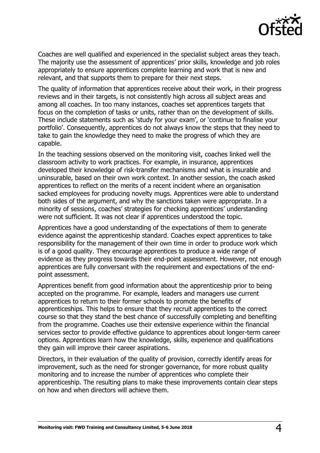

Coaches are well qualified and experienced in the specialist subject areas they teach. The majority use the assessment of apprentices' prior skills, knowledge and job roles appropriately to ensure apprentices complete learning and work that is new and relevant, and that supports them to prepare for their next steps.

The quality of information that apprentices receive about their work, in their progress reviews and in their targets, is not consistently high across all subject areas and among all coaches. In too many instances, coaches set apprentices targets that focus on the completion of tasks or units, rather than on the development of skills. These include statements such as 'study for your exam', or 'continue to finalise your portfolio'. Consequently, apprentices do not always know the steps that they need to take to gain the knowledge they need to make the progress of which they are capable.

In the teaching sessions observed on the monitoring visit, coaches linked well the classroom activity to work practices. For example, in insurance, apprentices developed their knowledge of risk-transfer mechanisms and what is insurable and uninsurable, based on their own work context. In another session, the coach asked apprentices to reflect on the merits of a recent incident where an organisation sacked employees for producing novelty mugs. Apprentices were able to understand both sides of the argument, and why the sanctions taken were appropriate. In a minority of sessions, coaches' strategies for checking apprentices' understanding were not sufficient. It was not clear if apprentices understood the topic.

Apprentices have a good understanding of the expectations of them to generate evidence against the apprenticeship standard. Coaches expect apprentices to take responsibility for the management of their own time in order to produce work which is of a good quality. They encourage apprentices to produce a wide range of evidence as they progress towards their end-point assessment. However, not enough apprentices are fully conversant with the requirement and expectations of the endpoint assessment.

Apprentices benefit from good information about the apprenticeship prior to being accepted on the programme. For example, leaders and managers use current apprentices to return to their former schools to promote the benefits of apprenticeships. This helps to ensure that they recruit apprentices to the correct course so that they stand the best chance of successfully completing and benefiting from the programme. Coaches use their extensive experience within the financial services sector to provide effective guidance to apprentices about longer-term career options. Apprentices learn how the knowledge, skills, experience and qualifications they gain will improve their career aspirations.

Directors, in their evaluation of the quality of provision, correctly identify areas for improvement, such as the need for stronger governance, for more robust quality monitoring and to increase the number of apprentices who complete their apprenticeship. The resulting plans to make these improvements contain clear steps on how and when directors will achieve them.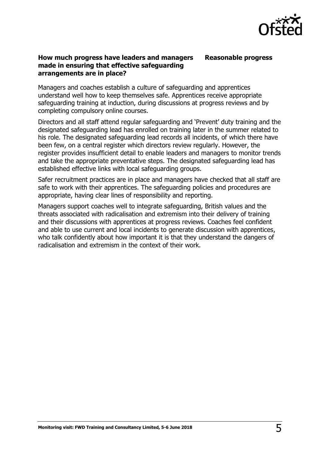

## **How much progress have leaders and managers made in ensuring that effective safeguarding arrangements are in place?**

**Reasonable progress**

Managers and coaches establish a culture of safeguarding and apprentices understand well how to keep themselves safe. Apprentices receive appropriate safeguarding training at induction, during discussions at progress reviews and by completing compulsory online courses.

Directors and all staff attend regular safeguarding and 'Prevent' duty training and the designated safeguarding lead has enrolled on training later in the summer related to his role. The designated safeguarding lead records all incidents, of which there have been few, on a central register which directors review regularly. However, the register provides insufficient detail to enable leaders and managers to monitor trends and take the appropriate preventative steps. The designated safeguarding lead has established effective links with local safeguarding groups.

Safer recruitment practices are in place and managers have checked that all staff are safe to work with their apprentices. The safeguarding policies and procedures are appropriate, having clear lines of responsibility and reporting.

Managers support coaches well to integrate safeguarding, British values and the threats associated with radicalisation and extremism into their delivery of training and their discussions with apprentices at progress reviews. Coaches feel confident and able to use current and local incidents to generate discussion with apprentices, who talk confidently about how important it is that they understand the dangers of radicalisation and extremism in the context of their work.